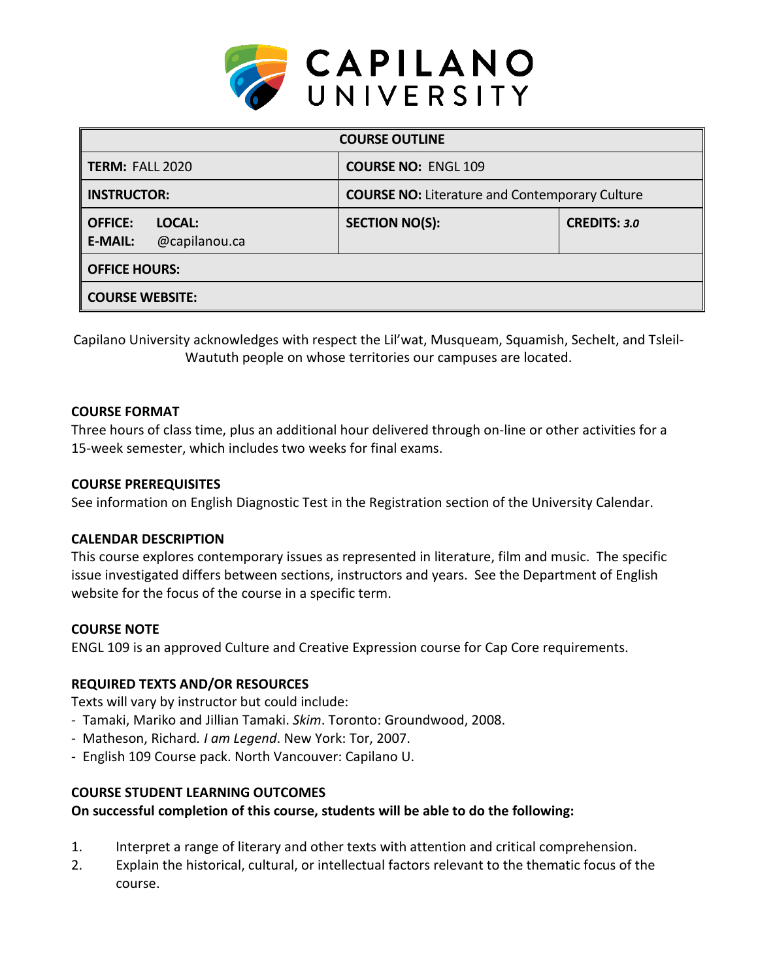

| <b>COURSE OUTLINE</b>                                       |                                                       |                     |  |  |  |
|-------------------------------------------------------------|-------------------------------------------------------|---------------------|--|--|--|
| <b>TERM: FALL 2020</b>                                      | <b>COURSE NO: ENGL 109</b>                            |                     |  |  |  |
| <b>INSTRUCTOR:</b>                                          | <b>COURSE NO:</b> Literature and Contemporary Culture |                     |  |  |  |
| <b>OFFICE:</b><br>LOCAL:<br>@capilanou.ca<br><b>E-MAIL:</b> | <b>SECTION NO(S):</b>                                 | <b>CREDITS: 3.0</b> |  |  |  |
| <b>OFFICE HOURS:</b>                                        |                                                       |                     |  |  |  |
| <b>COURSE WEBSITE:</b>                                      |                                                       |                     |  |  |  |

Capilano University acknowledges with respect the Lil'wat, Musqueam, Squamish, Sechelt, and Tsleil-Waututh people on whose territories our campuses are located.

# **COURSE FORMAT**

Three hours of class time, plus an additional hour delivered through on-line or other activities for a 15-week semester, which includes two weeks for final exams.

### **COURSE PREREQUISITES**

See information on English Diagnostic Test in the Registration section of the University Calendar.

### **CALENDAR DESCRIPTION**

This course explores contemporary issues as represented in literature, film and music. The specific issue investigated differs between sections, instructors and years. See the Department of English website for the focus of the course in a specific term.

### **COURSE NOTE**

ENGL 109 is an approved Culture and Creative Expression course for Cap Core requirements.

# **REQUIRED TEXTS AND/OR RESOURCES**

Texts will vary by instructor but could include:

- Tamaki, Mariko and Jillian Tamaki. *Skim*. Toronto: Groundwood, 2008.
- Matheson, Richard*. I am Legend*. New York: Tor, 2007.
- English 109 Course pack. North Vancouver: Capilano U.

# **COURSE STUDENT LEARNING OUTCOMES**

# **On successful completion of this course, students will be able to do the following:**

- 1. Interpret a range of literary and other texts with attention and critical comprehension.
- 2. Explain the historical, cultural, or intellectual factors relevant to the thematic focus of the course.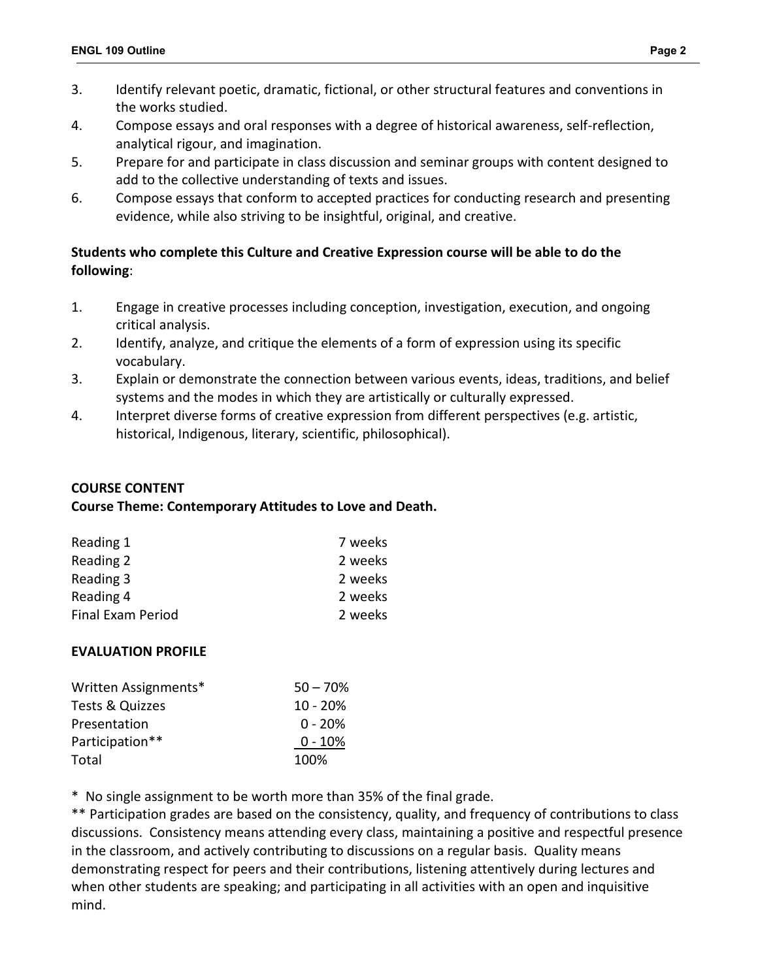- 3. Identify relevant poetic, dramatic, fictional, or other structural features and conventions in the works studied.
- 4. Compose essays and oral responses with a degree of historical awareness, self-reflection, analytical rigour, and imagination.
- 5. Prepare for and participate in class discussion and seminar groups with content designed to add to the collective understanding of texts and issues.
- 6. Compose essays that conform to accepted practices for conducting research and presenting evidence, while also striving to be insightful, original, and creative.

# **Students who complete this Culture and Creative Expression course will be able to do the following**:

- 1. Engage in creative processes including conception, investigation, execution, and ongoing critical analysis.
- 2. Identify, analyze, and critique the elements of a form of expression using its specific vocabulary.
- 3. Explain or demonstrate the connection between various events, ideas, traditions, and belief systems and the modes in which they are artistically or culturally expressed.
- 4. Interpret diverse forms of creative expression from different perspectives (e.g. artistic, historical, Indigenous, literary, scientific, philosophical).

# **COURSE CONTENT**

# **Course Theme: Contemporary Attitudes to Love and Death.**

| Reading 1                | 7 weeks |
|--------------------------|---------|
| Reading 2                | 2 weeks |
| Reading 3                | 2 weeks |
| Reading 4                | 2 weeks |
| <b>Final Exam Period</b> | 2 weeks |

# **EVALUATION PROFILE**

| Written Assignments* | $50 - 70%$ |
|----------------------|------------|
| Tests & Quizzes      | $10 - 20%$ |
| Presentation         | $0 - 20%$  |
| Participation**      | $0 - 10%$  |
| Total                | 100%       |

\* No single assignment to be worth more than 35% of the final grade.

\*\* Participation grades are based on the consistency, quality, and frequency of contributions to class discussions. Consistency means attending every class, maintaining a positive and respectful presence in the classroom, and actively contributing to discussions on a regular basis. Quality means demonstrating respect for peers and their contributions, listening attentively during lectures and when other students are speaking; and participating in all activities with an open and inquisitive mind.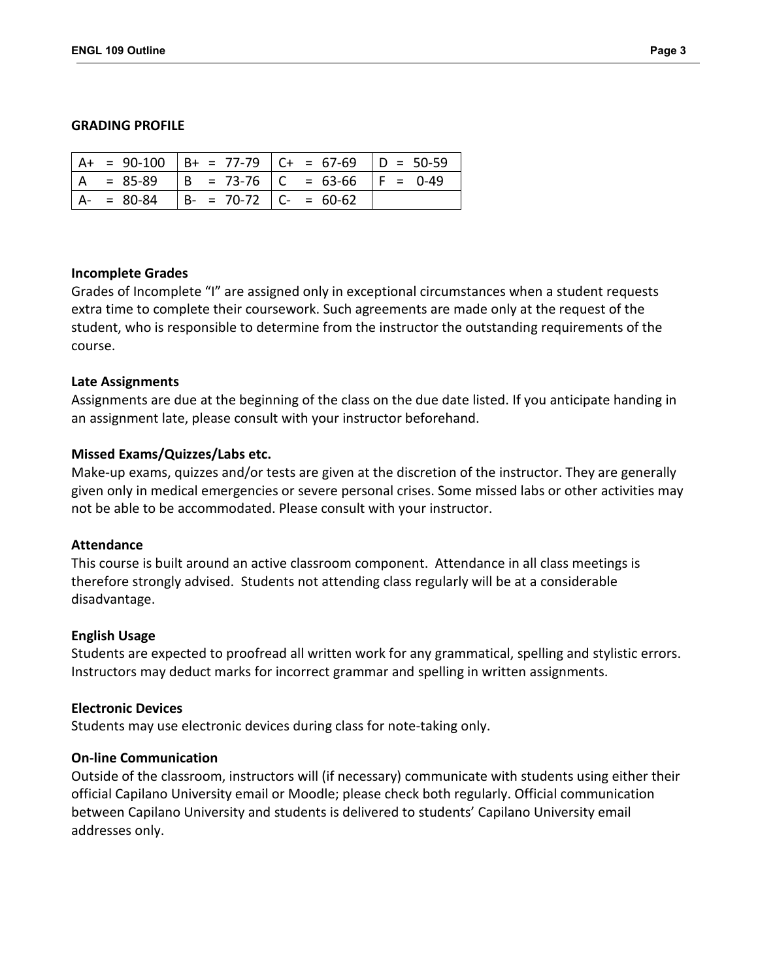#### **GRADING PROFILE**

|               |                         | $A+ = 90-100$ $B+ = 77-79$ $C+ = 67-69$ $D = 50-59$ |  |
|---------------|-------------------------|-----------------------------------------------------|--|
|               |                         | $ A = 85-89$ $ B = 73-76$ $ C = 63-66$ $ F = 0-49$  |  |
| $A - = 80-84$ | $ B- = 70-72 C = 60-62$ |                                                     |  |

#### **Incomplete Grades**

Grades of Incomplete "I" are assigned only in exceptional circumstances when a student requests extra time to complete their coursework. Such agreements are made only at the request of the student, who is responsible to determine from the instructor the outstanding requirements of the course.

#### **Late Assignments**

Assignments are due at the beginning of the class on the due date listed. If you anticipate handing in an assignment late, please consult with your instructor beforehand.

#### **Missed Exams/Quizzes/Labs etc.**

Make-up exams, quizzes and/or tests are given at the discretion of the instructor. They are generally given only in medical emergencies or severe personal crises. Some missed labs or other activities may not be able to be accommodated. Please consult with your instructor.

#### **Attendance**

This course is built around an active classroom component. Attendance in all class meetings is therefore strongly advised. Students not attending class regularly will be at a considerable disadvantage.

#### **English Usage**

Students are expected to proofread all written work for any grammatical, spelling and stylistic errors. Instructors may deduct marks for incorrect grammar and spelling in written assignments.

#### **Electronic Devices**

Students may use electronic devices during class for note-taking only.

### **On-line Communication**

Outside of the classroom, instructors will (if necessary) communicate with students using either their official Capilano University email or Moodle; please check both regularly. Official communication between Capilano University and students is delivered to students' Capilano University email addresses only.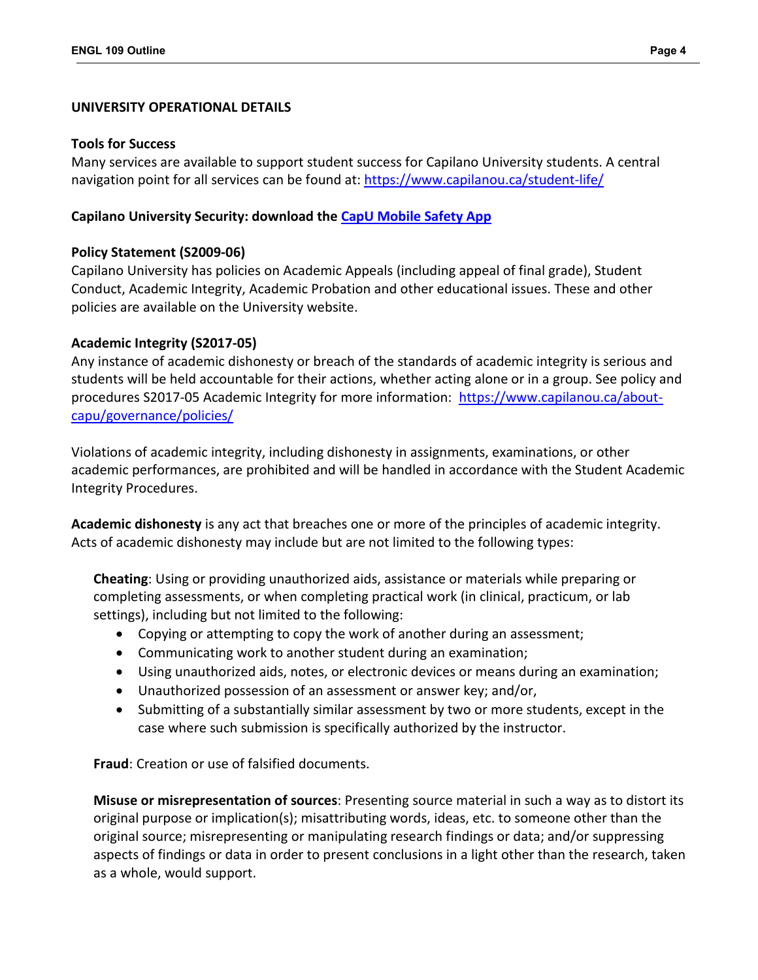### **UNIVERSITY OPERATIONAL DETAILS**

#### **Tools for Success**

Many services are available to support student success for Capilano University students. A central navigation point for all services can be found at:<https://www.capilanou.ca/student-life/>

# **Capilano University Security: download the [CapU Mobile Safety App](https://www.capilanou.ca/student-life/support--wellness/safety--security/capu-safe-app/)**

# **Policy Statement (S2009-06)**

Capilano University has policies on Academic Appeals (including appeal of final grade), Student Conduct, Academic Integrity, Academic Probation and other educational issues. These and other policies are available on the University website.

# **Academic Integrity (S2017-05)**

Any instance of academic dishonesty or breach of the standards of academic integrity is serious and students will be held accountable for their actions, whether acting alone or in a group. See policy and procedures S2017-05 Academic Integrity for more information: [https://www.capilanou.ca/about](https://www.capilanou.ca/about-capu/governance/policies/)[capu/governance/policies/](https://www.capilanou.ca/about-capu/governance/policies/)

Violations of academic integrity, including dishonesty in assignments, examinations, or other academic performances, are prohibited and will be handled in accordance with the Student Academic Integrity Procedures.

**Academic dishonesty** is any act that breaches one or more of the principles of academic integrity. Acts of academic dishonesty may include but are not limited to the following types:

**Cheating**: Using or providing unauthorized aids, assistance or materials while preparing or completing assessments, or when completing practical work (in clinical, practicum, or lab settings), including but not limited to the following:

- Copying or attempting to copy the work of another during an assessment;
- Communicating work to another student during an examination;
- Using unauthorized aids, notes, or electronic devices or means during an examination;
- Unauthorized possession of an assessment or answer key; and/or,
- Submitting of a substantially similar assessment by two or more students, except in the case where such submission is specifically authorized by the instructor.

**Fraud**: Creation or use of falsified documents.

**Misuse or misrepresentation of sources**: Presenting source material in such a way as to distort its original purpose or implication(s); misattributing words, ideas, etc. to someone other than the original source; misrepresenting or manipulating research findings or data; and/or suppressing aspects of findings or data in order to present conclusions in a light other than the research, taken as a whole, would support.